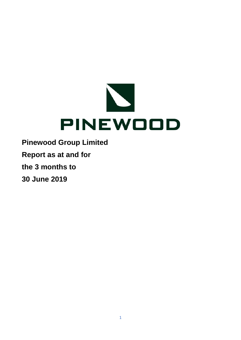

**Report as at and for**

**the 3 months to**

**30 June 2019**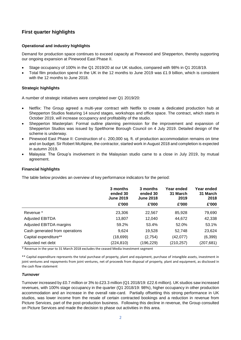## **First quarter highlights**

## **Operational and industry highlights**

Demand for production space continues to exceed capacity at Pinewood and Shepperton, thereby supporting our ongoing expansion at Pinewood East Phase II.

- Stage occupancy of 100% in the Q1 2019/20 at our UK studios, compared with 98% in Q1 2018/19.
- Total film production spend in the UK in the 12 months to June 2019 was £1.9 billion, which is consistent with the 12 months to June 2018.

## **Strategic highlights**

A number of strategic initiatives were completed over Q1 2019/20:

- Netflix: The Group agreed a multi-year contract with Netflix to create a dedicated production hub at Shepperton Studios featuring 14 sound stages, workshops and office space. The contract, which starts in October 2019, will increase occupancy and profitability of the studio.
- Shepperton Masterplan: Formal outline planning permission for the improvement and expansion of Shepperton Studios was issued by Spelthorne Borough Council on 4 July 2019. Detailed design of the scheme is underway.
- Pinewood East Phase II: Construction of c. 200,000 sq. ft. of production accommodation remains on time and on budget. Sir Robert McAlpine, the contractor, started work in August 2018 and completion is expected in autumn 2019.
- Malaysia: The Group's involvement in the Malaysian studio came to a close in July 2019, by mutual agreement.

## **Financial highlights**

The table below provides an overview of key performance indicators for the period:

|                                | 3 months<br>ended 30<br><b>June 2019</b><br>£'000 | 3 months<br>ended 30<br><b>June 2018</b><br>£'000 | Year ended<br>31 March<br>2019<br>£'000 | Year ended<br>31 March<br>2018<br>£'000 |
|--------------------------------|---------------------------------------------------|---------------------------------------------------|-----------------------------------------|-----------------------------------------|
| Revenue <sup>*</sup>           | 23,306                                            | 22,567                                            | 85,928                                  | 79,690                                  |
| <b>Adjusted EBITDA</b>         | 13,807                                            | 12,040                                            | 44,672                                  | 42,338                                  |
| Adjusted EBITDA margins        | 59.2%                                             | 53.4%                                             | 52.0%                                   | 53.1%                                   |
| Cash generated from operations | 9,624                                             | 19,528                                            | 52,748                                  | 23,624                                  |
| Capital expenditure**          | (18,699)                                          | (2,754)                                           | (42,077)                                | (6, 399)                                |
| Adjusted net debt              | (224, 810)                                        | (196,229)                                         | (210, 257)                              | (207, 681)                              |

\* Revenue in the year to 31 March 2018 excludes the ceased Media Investment segment

\*\* Capital expenditure represents the total purchase of property, plant and equipment, purchase of intangible assets, investment in joint ventures and repayments from joint ventures, net of proceeds from disposal of property, plant and equipment, as disclosed in the cash flow statement

## *Turnover*

Turnover increased by £0.7 million or 3% to £23.3 million (Q1 2018/19: £22.6 million). UK studios saw increased revenues, with 100% stage occupancy in the quarter (Q1 2018/19: 98%), higher occupancy in other production accommodation and an increase in the overall rate-card. Partially offsetting this strong performance in UK studios, was lower income from the resale of certain contracted bookings and a reduction in revenue from Picture Services, part of the post-production business. Following this decline in revenue, the Group consulted on Picture Services and made the decision to phase out activities in this area.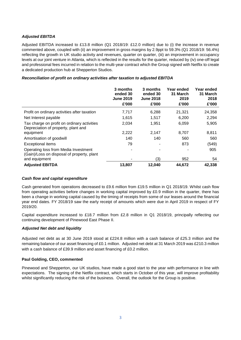## *Adjusted EBITDA*

Adjusted EBITDA increased to £13.8 million (Q1 2018/19: £12.0 million) due to (i) the increase in revenue commented above, coupled with (ii) an improvement in gross margins by 2.9ppt to 59.3% (Q1 2018/19: 56.4%) reflecting the growth in UK studio activity and revenues, quarter on quarter, (iii) an improvement in occupancy levels at our joint venture in Atlanta, which is reflected in the results for the quarter, reduced by (iv) one-off legal and professional fees incurred in relation to the multi-year contract which the Group signed with Netflix to create a dedicated production hub at Shepperton Studios.

## *Reconciliation of profit on ordinary activities after taxation to adjusted EBITDA*

|                                                                                    | 3 months<br>ended 30<br><b>June 2019</b><br>£'000 | 3 months<br>ended 30<br><b>June 2018</b><br>£'000 | Year ended<br>31 March<br>2019<br>£'000 | Year ended<br>31 March<br>2018<br>£'000 |
|------------------------------------------------------------------------------------|---------------------------------------------------|---------------------------------------------------|-----------------------------------------|-----------------------------------------|
| Profit on ordinary activities after taxation                                       | 7,717                                             | 6,288                                             | 21,321                                  | 24,358                                  |
| Net Interest payable                                                               | 1,615                                             | 1,517                                             | 6,200                                   | 2,294                                   |
| Tax charge on profit on ordinary activities<br>Depreciation of property, plant and | 2,034                                             | 1,951                                             | 6,059                                   | 5,905                                   |
| equipment                                                                          | 2,222                                             | 2,147                                             | 8,707                                   | 8,811                                   |
| Amortisation of goodwill                                                           | 140                                               | 140                                               | 560                                     | 560                                     |
| <b>Exceptional items</b>                                                           | 79                                                | ٠                                                 | 873                                     | (549)                                   |
| Operating loss from Media Investment<br>(Gain)/Loss on disposal of property, plant |                                                   |                                                   |                                         | 905                                     |
| and equipment                                                                      |                                                   | (3)                                               | 952                                     | 54                                      |
| <b>Adjusted EBITDA</b>                                                             | 13,807                                            | 12,040                                            | 44,672                                  | 42,338                                  |

## *Cash flow and capital expenditure*

Cash generated from operations decreased to £9.6 million from £19.5 million in Q1 2018/19. Whilst cash flow from operating activities before changes in working capital improved by £0.9 million in the quarter, there has been a change in working capital caused by the timing of receipts from some of our leases around the financial year end dates. FY 2018/19 saw the early receipt of amounts which were due in April 2019 in respect of FY 2019/20.

Capital expenditure increased to £18.7 million from £2.8 million in Q1 2018/19, principally reflecting our continuing development of Pinewood East Phase II.

## *Adjusted Net debt and liquidity*

Adjusted net debt as at 30 June 2019 stood at £224.8 million with a cash balance of £25.3 million and the remaining balance of our asset financing of £0.1 million. Adjusted net debt at 31 March 2019 was £210.3 million with a cash balance of £39.9 million and asset financing of £0.2 million.

## **Paul Golding, CEO, commented**

Pinewood and Shepperton, our UK studios, have made a good start to the year with performance in line with expectations. The signing of the Netflix contract, which starts in October of this year, will improve profitability whilst significantly reducing the risk of the business. Overall, the outlook for the Group is positive.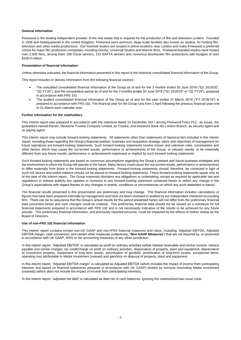#### **General information**

Pinewood is the leading independent provider of the real estate that is required for the production of film and television content. Founded in 1936 and headquartered in the United Kingdom, Pinewood owns premium, large-scale facilities also known as studios, for hosting film, television and other media productions. Our freehold studios are located in prime locations near London and make Pinewood a preferred choice for major film production companies, including Disney, Universal Studios and Warner Bros. Pinewood branded studios have hosted over 2,000 films, among them 158 Oscar winners, 215 BAFTA winners and numerous blockbuster film productions with budgets of over \$100.0 million.

#### **Presentation of financial information**

Unless otherwise indicated, the financial information presented in this report is the historical consolidated financial information of the Group.

This report includes or derives information from the following financial sources:

- The unaudited consolidated financial information of the Group as of and for the 3 months ended 30 June 2019 ("Q1 2019/20", "Q1 FY20"), and the comparative period as of and for the 3 months ended 30 June 2018 ("Q1 2018/19" or "Q1 FY19"), prepared in accordance with FRS 102.
- The audited consolidated financial information of the Group as of and for the year ended 31 March 2019 ("FY 2018/19") is prepared in accordance with FRS 102. The financial year for the Group runs from 1 April following the previous financial year end to 31 March each calendar year.

#### **Further information for the noteholders**

This interim report was prepared in accordance with the indenture dated 13 December 2017 among Pinewood Finco PLC, as issuer, the guarantors named therein, Deutsche Trustee Company Limited, as Trustee, and Deutsche Bank AG London Branch, as security agent and as paying agent.

This interim report may include forward-looking statements. All statements other than statements of historical fact included in this interim report, including those regarding the Group's financial position, business and acquisition strategy, plans and objectives of management for future operations are forward-looking statements. Such forward-looking statements involve known and unknown risks, uncertainties and other factors which may cause the out-turned results, performance or achievements of the Group, or industry results, to be materially different from any future results, performance or achievements expressed or implied by such forward-looking statements.

Such forward-looking statements are based on numerous assumptions regarding the Group's present and future business strategies and the environment in which the Group will operate in the future. Many factors could cause the out-turned results, performance or achievements to differ materially from those in the forward-looking statements. Forward-looking statements should, therefore, be construed in light of such risk factors and undue reliance should not be placed on forward-looking statements. These forward-looking statements speak only as of the date of this interim report. The Group expressly disclaims any obligations or undertaking, except as required by applicable law and regulations to release publicly any updates or revisions to any forward-looking statement contained herein to reflect any change in the Group's expectations with regard thereto or any changes in events, conditions or circumstances on which any such statement is based.

The financial results presented in this presentation are preliminary and may change. This financial information includes calculations or figures that have been prepared internally by management and have not been reviewed or audited by our independent chartered accounting firm. There can be no assurance that the Group's actual results for the period presented herein will not differ from the preliminary financial data presented herein and such changes could be material. This preliminary financial data should not be viewed as a substitute for full financial statements prepared in accordance with FRS 102 and is not necessarily indicative of the results to be achieved for any future periods. This preliminary financial information, and previously reported amounts, could be impacted by the effects of further review by the Board of Directors.

#### **Use of non-FRS 102 financial information**

This interim report contains certain non-UK GAAP and non-IFRS financial measures and ratios, including, Adjusted EBITDA, Adjusted EBITDA margin, cash conversion, and certain other measures (collectively, "**Non-GAAP Measures**") that are not required by, or presented in accordance with UK GAAP, IFRS or the accounting measures of any other jurisdiction.

In this interim report, "Adjusted EBITDA" is calculated as profit on ordinary activities before interest receivable and similar income, interest payable and similar charges, tax credit/charge on profit on ordinary activities, depreciation of property, plant and equipment, depreciation of investment property, impairment of long-term assets, amortisation of goodwill, amortisation of long-term assets, exceptional items, operating loss attributable to Media Investment (ceased) and gain/loss on disposal of property, plant and equipment.

In this interim report, "Adjusted EBITDA margin" is calculated as Adjusted EBITDA (which includes the impact of income from participating interests and based on financial statements prepared in accordance with UK GAAP) divided by turnover (excluding Media Investment (ceased)) (which does not include the impact of income from participating interests).

In this interim report, "adjusted net debt" is calculated as debt net of cash balances, ignoring the unamortised loan issue costs.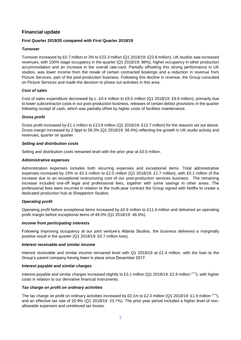## **Financial update**

## **First Quarter 2019/20 compared with First Quarter 2018/19**

## *Turnover*

Turnover increased by £0.7 million or 3% to £23.3 million (Q1 2018/19: £22.6 million). UK studios saw increased revenues, with 100% stage occupancy in the quarter (Q1 2018/19: 98%), higher occupancy in other production accommodation and an increase in the overall rate-card. Partially offsetting this strong performance in UK studios, was lower income from the resale of certain contracted bookings and a reduction in revenue from Picture Services, part of the post-production business. Following this decline in revenue, the Group consulted on Picture Services and made the decision to phase out activities in this area.

## *Cost of sales*

Cost of sales expenditure decreased by c. £0.4 million to £9.5 million (Q1 2018/19: £9.8 million), primarily due to lower subcontractor costs in our post-production business, releases of certain debtor provisions in the quarter following receipt of cash, which was partially offset by higher costs of facilities maintenance.

## *Gross profit*

Gross profit increased by £1.1 million to £13.8 million (Q1 2018/19: £12.7 million) for the reasons set out above. Gross margin increased by 2.9ppt to 59.3% (Q1 2018/19: 56.4%) reflecting the growth in UK studio activity and revenues, quarter on quarter.

## *Selling and distribution costs*

Selling and distribution costs remained level with the prior year at £0.5 million.

## *Administrative expenses*

Administration expenses includes both recurring expenses and exceptional items. Total administrative expenses increased by 15% or £0.3 million to £2.0 million (Q1 2018/19: £1.7 million), with £0.1 million of the increase due to an exceptional restructuring cost of our post-production services business. The remaining increase included one-off legal and professional fees, together with some savings in other areas. The professional fees were incurred in relation to the multi-year contract the Group signed with Netflix to create a dedicated production hub at Shepperton Studios.

## *Operating profit*

Operating profit before exceptional items increased by £0.9 million to £11.4 million and delivered an operating profit margin before exceptional items of 49.0% (Q1 2018/19: 46.5%).

## *Income from participating interests*

Following improving occupancy at our joint venture's Atlanta Studios, the business delivered a marginally positive result in the quarter (Q1 2018/19: £0.7 million loss).

## *Interest receivable and similar income*

Interest receivable and similar income remained level with Q1 2018/19 at £1.4 million, with the loan to the Group's parent company having been in place since December 2017.

## *Interest payable and similar charges*

Interest payable and similar charges increased slightly to £3.1 million (Q1 2018/19: £2.9 million (\*\*\*) ), with higher costs in relation to our derivative financial instruments.

## *Tax charge on profit on ordinary activities*

The tax charge on profit on ordinary activities increased by £0.1m to £2.0 million (Q1 2018/19: £1.9 million (\*\*\*) ), and an effective tax rate of 20.9% (Q1 2018/19: 23.7%). The prior year period included a higher level of nonallowable expenses and unrelieved tax losses.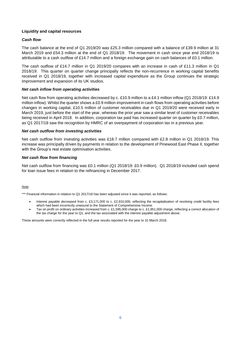## **Liquidity and capital resources**

## *Cash flow*

The cash balance at the end of Q1 2019/20 was £25.3 million compared with a balance of £39.9 million at 31 March 2019 and £54.3 million at the end of Q1 2018/19. The movement in cash since year end 2018/19 is attributable to a cash outflow of £14.7 million and a foreign exchange gain on cash balances of £0.1 million.

The cash outflow of £14.7 million in Q1 2019/20 compares with an increase in cash of £11.3 million in Q1 2018/19. This quarter on quarter change principally reflects the non-recurrence in working capital benefits received in Q1 2018/19, together with increased capital expenditure as the Group continues the strategic improvement and expansion of its UK studios.

## *Net cash inflow from operating activities*

Net cash flow from operating activities decreased by c. £10.9 million to a £4.1 million inflow (Q1 2018/19: £14.9 million inflow). Whilst the quarter shows a £0.9 million improvement in cash flows from operating activities before changes in working capital, £10.5 million of customer receivables due in Q1 2019/20 were received early in March 2019, just before the start of the year, whereas the prior year saw a similar level of customer receivables being received in April 2018. In addition, corporation tax paid has increased quarter on quarter by £0.7 million, as Q1 2017/18 saw the recognition by HMRC of an overpayment of corporation tax in a previous year.

## *Net cash outflow from investing activities*

Net cash outflow from investing activities was £18.7 million compared with £2.8 million in Q1 2018/19. This increase was principally driven by payments in relation to the development of Pinewood East Phase II, together with the Group's real estate optimisation activities.

## *Net cash flow from financing*

Net cash outflow from financing was £0.1 million (Q1 2018/19: £0.9 million). Q1 2018/19 included cash spend for loan issue fees in relation to the refinancing in December 2017.

## Note

\*\*\* Financial information in relation to Q1 2017/18 has been adjusted since it was reported, as follows:

- Interest payable decreased from c. £3,171,000 to c. £2,910,000, reflecting the recapitalisation of revolving credit facility fees which had been incorrectly unwound to the Statement of Comprehensive Income.
- Tax on profit on ordinary activities increased from c. £1,595,000 charge to c. £1,951,000 charge, reflecting a correct allocation of the tax charge for the year to Q1, and the tax associated with the interest payable adjustment above.

These amounts were correctly reflected in the full year results reported for the year to 31 March 2018.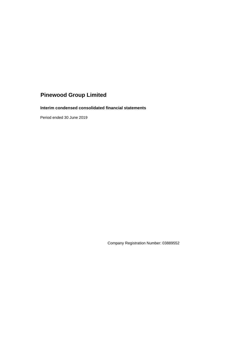## **Interim condensed consolidated financial statements**

Period ended 30 June 2019

Company Registration Number: 03889552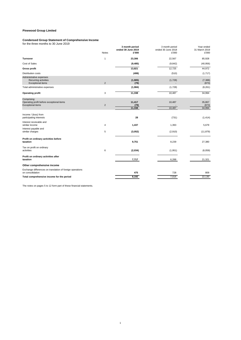#### **Condensed Group Statement of Comprehensive Income**

for the three months to 30 June 2019

|                                                                                      | <b>Notes</b>   | 3 month period<br>ended 30 June 2019<br>£'000 | 3 month period<br>ended 30 June 2018<br>£'000 | Year ended<br>31 March 2019<br>£'000 |
|--------------------------------------------------------------------------------------|----------------|-----------------------------------------------|-----------------------------------------------|--------------------------------------|
| <b>Turnover</b>                                                                      | $\mathbf{1}$   | 23,306                                        | 22,567                                        | 85,928                               |
| Cost of Sales                                                                        |                | (9, 485)                                      | (9, 842)                                      | (40, 956)                            |
| <b>Gross profit</b>                                                                  |                | 13,821                                        | 12,725                                        | 44,972                               |
| <b>Distribution costs</b>                                                            |                | (499)                                         | (510)                                         | (1,717)                              |
| Administrative expenses<br>Recurring activities<br><b>Exceptional items</b>          | $\overline{2}$ | (1,905)<br>(79)                               | (1,728)                                       | (7, 388)<br>(873)                    |
| Total administrative expenses                                                        |                | (1,984)                                       | (1,728)                                       | (8, 261)                             |
| <b>Operating profit</b>                                                              | 3              | 11,338                                        | 10,487                                        | 34,994                               |
| Comprising:<br>Operating profit before exceptional items<br><b>Exceptional items</b> | $\overline{2}$ | 11,417<br>(79)<br>11,338                      | 10,487<br>10,487                              | 35,867<br>(873)<br>34,994            |
| Income / (loss) from<br>participating interests                                      |                | 28                                            | (731)                                         | (1, 414)                             |
| Interest receivable and<br>similar income                                            | 4              | 1,437                                         | 1,393                                         | 5,679                                |
| Interest payable and<br>similar charges                                              | 5              | (3,052)                                       | (2,910)                                       | (11, 879)                            |
| Profit on ordinary activities before<br>taxation                                     |                | 9,751                                         | 8,239                                         | 27,380                               |
| Tax on profit on ordinary<br>activities                                              | 6              | (2,034)                                       | (1,951)                                       | (6,059)                              |
| Profit on ordinary activities after<br>taxation                                      |                | 7,717                                         | 6,288                                         | 21,321                               |
| Other comprehensive income                                                           |                |                                               |                                               |                                      |
| Exchange differences on translation of foreign operations<br>on consolidation        |                | 475                                           | 728                                           | 809                                  |
| Total comprehensive income for the period                                            |                | 8,192                                         | 7,016                                         | 22,130                               |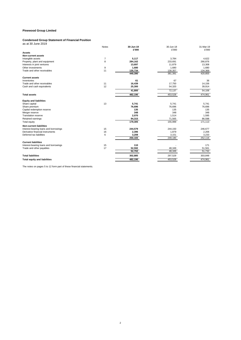#### **Condensed Group Statement of Financial Position**

as at 30 June 2019

|                                       | Notes | 30-Jun-19 | 30-Jun-18 | 31-Mar-19           |
|---------------------------------------|-------|-----------|-----------|---------------------|
|                                       |       | £'000     | £'000     | £'000               |
| <b>Assets</b>                         |       |           |           |                     |
| <b>Non-current assets</b>             |       |           |           |                     |
| Intangible assets                     | 7     | 5,117     | 3.784     | 4,622               |
| Property, plant and equipment         | 8     | 284,162   | 233,691   | 266,876             |
| Interests in joint ventures           |       | 13,697    | 11,879    | 13,308              |
| Other investments                     | 9     | 1,680     | 1,680     | 1,680               |
| Trade and other receivables           | 11    | 135,734   | 130,357   | 134,369             |
|                                       |       | 440,390   | 381,391   | 420,855             |
| <b>Current assets</b>                 |       |           |           |                     |
| Inventories                           |       | 61        | 67        | 36                  |
| Trade and other receivables           | 11    | 16,439    | 17,750    | 14,156              |
| Cash and cash equivalents             | 12    | 25,300    | 54,320    | 39,914              |
|                                       |       | 41,800    | 72,137    | 54,106              |
| <b>Total assets</b>                   |       | 482,190   | 453,528   | 474,961             |
| <b>Equity and liabilities</b>         |       |           |           |                     |
| Share capital                         | 13    | 5,741     | 5,741     | 5,741               |
| Share premium                         |       | 76,696    | 76.696    | 76,696              |
| Capital redemption reserve            |       | 135       | 135       | 135                 |
| Merger reserve                        |       | 348       | 348       | 348                 |
| <b>Translation reserve</b>            |       | 2,070     | 1,514     | 1,595               |
| Retained earnings                     |       | 94,315    | 71,565    | 86,598              |
| Total equity                          |       | 179,305   | 155,999   | 171,113             |
| <b>Non-current liabilities</b>        |       |           |           |                     |
| Interest-bearing loans and borrowings | 15    | 244,579   | 244,150   | 246,677             |
| Derivative financial instruments      | 16    | 2,396     | 1,879     | 2,206               |
| Deferred tax liabilities              | 6     | 3,208     | 3,151     | 3,233               |
|                                       |       | 250,183   | 249,180   | 252,116             |
| <b>Current liabilities</b>            |       |           |           |                     |
| Interest-bearing loans and borrowings | 15    | 110       |           | 171                 |
| Trade and other payables              | 17    | 52,592    | 48,349    | 51,561              |
|                                       |       | 52,702    | 48,349    | $\overline{51,732}$ |
| <b>Total liabilities</b>              |       | 302,885   | 297,529   | 303,848             |
| <b>Total equity and liabilities</b>   |       | 482,190   | 453.528   | 474.961             |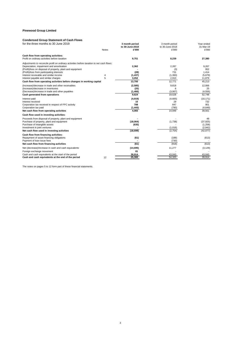## **Condensed Group Statement of Cash Flows**

| 3 month period<br>to 30-June-2019                                                                                                                   | 3 month period<br>to 30-June-2018                  | Year ended<br>31-Mar-19                              |  |
|-----------------------------------------------------------------------------------------------------------------------------------------------------|----------------------------------------------------|------------------------------------------------------|--|
| £'000<br><b>Notes</b>                                                                                                                               | £'000                                              | £'000                                                |  |
| 9,751                                                                                                                                               | 8,239                                              | 27,380                                               |  |
| Adjustments to reconcile profit on ordinary activities before taxation to net cash flows:<br>2,362<br>(28)<br>(1, 437)<br>4<br>5<br>3,052<br>13,700 | 2,287<br>(3)<br>731<br>(1, 393)<br>2,910<br>12,771 | 9,267<br>952<br>1,414<br>(5,679)<br>11,879<br>45,213 |  |
| (2, 585)<br>(25)<br>(1, 466)<br>9,624                                                                                                               | 9,818<br>6<br>(3,067)<br>19,528                    | 12,066<br>25<br>(4, 556)<br>52,748                   |  |
| (4,919)<br>15<br>788<br>(1, 443)<br>4,065                                                                                                           | (4,665)<br>29<br>847<br>(790)<br>14,949            | (10, 171)<br>732<br>901<br>(4,649)<br>39,561         |  |
|                                                                                                                                                     |                                                    |                                                      |  |
| (18,064)<br>(635)<br>(18, 699)                                                                                                                      | (1,738)<br>(1,016)<br>(2,754)                      | 48<br>(37, 925)<br>(1,258)<br>(2,942)<br>(42,077)    |  |
| (61)<br>(61)                                                                                                                                        | (188)<br>(730)<br>(918)                            | (613)<br>(613)                                       |  |
| (14, 695)<br>81<br>39,914                                                                                                                           | 11,277<br>43,043                                   | (3, 129)<br>43,043<br>39.914                         |  |
|                                                                                                                                                     | 25,300<br>12                                       | 54,320                                               |  |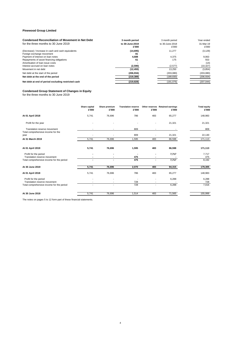| <b>Condensed Reconciliation of Movement in Net Debt</b> | 3 month period           | 3 month period           | Year ended         |
|---------------------------------------------------------|--------------------------|--------------------------|--------------------|
| for the three months to 30 June 2019                    | to 30-June-2019<br>£'000 | to 30-June-2018<br>£'000 | 31-Mar-19<br>£'000 |
| (Decrease) / Increase in cash and cash equivalents      | (14, 695)                | 11.277                   | (3, 129)           |
| Foreign exchange movement                               | 81                       |                          |                    |
| Payment of interest on loan notes                       | 4.688                    | 4.375                    | 9.063              |
| Repayments of asset financing obligations               | 61                       | 175                      | 553                |
| Amortisation of loan issue costs                        |                          |                          | (14)               |
| Interest accrued on loan notes                          | (2,590)                  | (2,577)                  | (10, 327)          |
| Movement in net debt                                    | (12, 455)                | 13.250                   | (3,854)            |
| Net debt at the start of the period                     | (206, 934)               | (203,080)                | (203,080)          |
| Net debt at the end of the period                       | (219, 389)               | (189, 830)               | (206, 934)         |
| Net debt at end of period excluding restricted cash     | (219, 828)               | (191,076)                | (207, 044)         |

#### **Condensed Group Statement of Changes in Equity**

for the three months to 30 June 2019

|                                                       | Share capital<br>£'000 | Share premium<br>£'000 | <b>Translation reserve</b><br>£'000 | £'000  | Other reserves Retained earnings<br>£'000 | <b>Total equity</b><br>£'000 |
|-------------------------------------------------------|------------------------|------------------------|-------------------------------------|--------|-------------------------------------------|------------------------------|
| At 01 April 2018                                      | 5,741                  | 76,696                 | 786                                 | 483    | 65,277                                    | 148,983                      |
| Profit for the year                                   |                        |                        |                                     |        | 21,321                                    | 21,321                       |
| Translation reserve movement                          |                        |                        | 809                                 |        |                                           | 809                          |
| Total comprehensive income for the<br>year            |                        |                        | 809                                 |        | 21,321                                    | 22,130                       |
| At 31 March 2019                                      | 5,741                  | 76,696                 | 1.595                               | 483    | 86,598                                    | 171,113                      |
| At 01 April 2019                                      | 5,741                  | 76,696                 | 1,595                               | 483    | 86,598                                    | 171,113                      |
| Profit for the period<br>Translation reserve movement |                        | ۰                      | 475                                 |        | 7,717                                     | 7,717<br>475                 |
| Total comprehensive income for the period             | ٠                      | ٠                      | 475                                 | ٠      | 7,717                                     | 8,192                        |
| At 30 June 2019                                       | 5,741                  | 76,696                 | 2,070                               | 483    | 94,315                                    | 179,305                      |
| At 01 April 2018                                      | 5,741                  | 76,696                 | 786                                 | 483    | 65,277                                    | 148,983                      |
| Profit for the period<br>Translation reserve movement |                        |                        | 728                                 |        | 6,288                                     | 6,288<br>728                 |
| Total comprehensive income for the period             |                        | $\sim$                 | 728                                 | $\sim$ | 6,288                                     | 7,016                        |
| At 30 June 2018                                       | 5,741                  | 76,696                 | 1,514                               | 483    | 71,565                                    | 155,999                      |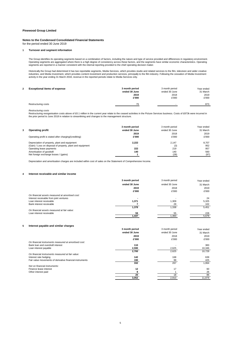#### **Notes to the Condensed Consolidated Financial Statements**

for the period ended 30 June 2019

#### **1 Turnover and segment information**

The Group identifies its operating segments based on a combination of factors, including the nature and type of service provided and differences in regulatory environment. Operating segments are aggregated where there is a high degree of consistency across these factors, and the segments have similar economic characteristics. Operating<br>segments are reported in a manner consistent with the in

Historically the Group had determined it has two reportable segments, Media Services, which provides studio and related services to the film, television and wider creative industries, and Media Investment, which provides content investment and production services, principally to the film industry. Following the cessation of Media Investment<br>activity in the year ending 31 March 2018, revenue

| 2 | <b>Exceptional items of expense</b> | 3 month period | 3 month period           | Year ended |
|---|-------------------------------------|----------------|--------------------------|------------|
|   |                                     | ended 30 June  | ended 30 June            | 31 March   |
|   |                                     | 2019           | 2018                     | 2019       |
|   |                                     | £'000          | £'000                    | £'000      |
|   | Restructuring costs                 | 79             | $\overline{\phantom{a}}$ | 873        |

*Restructuring costs*

Restructuring reorganisation costs above of £0.1 million in the current year relate to the ceased activities in the Picture Services business. Costs of £873k were incurred in the prior period to June 2018 in relation to streamlining and changes to the management structure.

|                                                            | 3 month period | 3 month period | Year ended |
|------------------------------------------------------------|----------------|----------------|------------|
| <b>Operating profit</b>                                    | ended 30 June  | ended 30 June  | 31 March   |
|                                                            | 2019           | 2018           | 2019       |
| Operating profit is stated after charging/(crediting):     | £'000          | £'000          | £'000      |
| Depreciation of property, plant and equipment              | 2.222          | 2.147          | 8.707      |
| (Gain) / Loss on disposal of property, plant and equipment |                | (3)            | 952        |
| Operating lease payments                                   | 222            | 219            | 957        |
| Amortisation of goodwill                                   | 140            | 140            | 560        |
| Net foreign exchange losses / (gains)                      |                | (28)           | (97)       |

Depreciation and amortisation charges are included within cost of sales on the Statement of Comprehensive Income.

#### **4 Interest receivable and similar income**

|                                                 | 3 month period | 3 month period | Year ended |
|-------------------------------------------------|----------------|----------------|------------|
|                                                 | ended 30 June  | ended 30 June  | 31 March   |
|                                                 | 2019           | 2018           | 2019       |
|                                                 | £'000          | £'000          | £'000      |
| On financial assets measured at amortised cost: |                |                |            |
| Interest receivable from joint ventures         |                |                | 24         |
| Loan interest receivable                        | 1,371          | 1,309          | 5,325      |
| Bank interest receivable                        |                | 29             | 102        |
|                                                 | 1,378          | 1.338          | 5,451      |
| On financial assets measured at fair value:     |                |                |            |
| Loan interest receivable                        | 59             | 55             | 228        |
|                                                 | 1.437          | 1.393          | 5.679      |

#### **5 Interest payable and similar charges**

|                                                          | 3 month period | 3 month period | Year ended |
|----------------------------------------------------------|----------------|----------------|------------|
|                                                          | ended 30 June  | ended 30 June  | 31 March   |
|                                                          | 2019           | 2018           | 2019       |
|                                                          | £'000          | £'000          | £'000      |
| On financial instruments measured at amortised cost:     |                |                |            |
| Bank loan and overdraft interest                         | 110            |                | 383        |
| Loan interest payable                                    | 2,590          | 2,625          | 10,346     |
|                                                          | 2,700          | 2,625          | 10.729     |
| On financial instruments measured at fair value:         |                |                |            |
| Interest rate hedging                                    | 142            | 168            | 639        |
| Fair value movements of derivative financial instruments | 190            | 99             | 425        |
|                                                          | 332            | 267            | 1,064      |
| Not on financial instruments:                            |                |                |            |
| Finance lease interest                                   | 12             | 17             | 60         |
| Other interest paid                                      |                |                | 26         |
|                                                          | 20             | 18             | 86         |
|                                                          | 3,052          | 2,910          | 11,879     |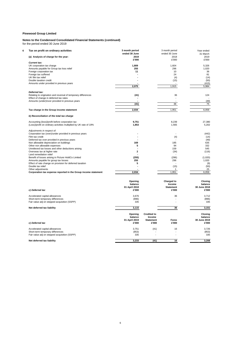## **Notes to the Condensed Consolidated Financial Statements (continued)**

for the period ended 30 June 2019

| 6 | Tax on profit on ordinary activities                              | 3 month period          |                    | 3 month period   | Year ended   |
|---|-------------------------------------------------------------------|-------------------------|--------------------|------------------|--------------|
|   |                                                                   | ended 30 June           |                    | ended 30 June    | 31 March     |
|   | (a) Analysis of charge for the year:                              | 2019                    |                    | 2018             | 2019         |
|   |                                                                   | £'000                   |                    | £'000            | £'000        |
|   | <b>Current tax:</b>                                               |                         |                    |                  |              |
|   | UK corporation tax charge                                         | 1,809                   |                    | 1.604            | 5,326        |
|   | Amounts payable for Group tax loss relief                         | 255                     |                    | 296              | 1,020        |
|   | Foreign corporation tax                                           | 11                      |                    | 10               | 36           |
|   | Foreign tax suffered                                              |                         |                    | 24               | 81           |
|   | UK film tax relief                                                |                         |                    | (4)              | (14)         |
|   | Double taxation credit                                            |                         |                    | (15)             | (50)         |
|   | Amounts under provided in previous years                          |                         |                    |                  | (415)        |
|   |                                                                   | 2,075                   |                    | 1.915            | 5.984        |
|   | Deferred tax:                                                     |                         |                    |                  |              |
|   | Relating to origination and reversal of temporary differences     | (41)                    |                    | 36               | 124          |
|   | Effect of change in deferred tax rates                            |                         |                    | ÷.               |              |
|   | Amounts (under)/over provided in previous years                   |                         |                    |                  | (49)         |
|   |                                                                   | (41)                    |                    | 36               | 75           |
|   |                                                                   |                         |                    |                  |              |
|   | Tax charge in the Group income statement                          | 2,034                   |                    | 1,951            | 6,059        |
|   | b) Reconciliation of the total tax charge                         |                         |                    |                  |              |
|   |                                                                   |                         |                    |                  |              |
|   | Accounting (loss)/profit before corporation tax                   | 9,751                   |                    | 8,239            | 27,380       |
|   | (Loss)/profit on ordinary activities multiplied by UK rate of 19% | 1,853                   |                    | 1,565            | 5,202        |
|   | Adjustments in respect of:                                        |                         |                    |                  |              |
|   | Corporation tax (over)/under provided in previous years           |                         |                    |                  | (442)        |
|   | Film tax credit                                                   | Ĭ.                      |                    | (4)              | (14)         |
|   | Deferred tax over provided in previous years                      |                         |                    |                  | (49)         |
|   | Non allowable depreciation on buildings                           | 169                     |                    | 185              | 635          |
|   | Other non allowable expenses                                      | 5                       |                    | 94               | 332          |
|   | Unrelieved tax losses and other deductions arising                |                         |                    | 159              | 545          |
|   | Overseas tax at higher rate                                       | $\overline{\mathbf{c}}$ |                    | (34)             | (116)        |
|   | Land remediation relief                                           |                         |                    |                  |              |
|   | Benefit of losses arising in Picture HoldCo Limited               | (255)                   |                    | (296)            | (1,020)      |
|   | Amounts payable for group tax losses                              | 255                     |                    | 296              | 1,020        |
|   | Effect of rate change on provision for deferred taxation          | 5                       |                    |                  | (9)          |
|   | Double tax relief                                                 |                         |                    | (15)             | (50)         |
|   | Other adjustments                                                 |                         |                    | 1                | 25           |
|   | Corporation tax expense reported in the Group income statement    | 2,034                   |                    | 1,951            | 6,059        |
|   |                                                                   |                         |                    |                  |              |
|   |                                                                   | Opening                 |                    | Charged to       | Closing      |
|   |                                                                   | balance                 |                    | Income           | balance      |
|   |                                                                   | 01 April 2018           |                    | <b>Statement</b> | 30 June 2018 |
|   | c) Deferred tax                                                   | £'000                   |                    | £'000            | £'000        |
|   | Accelerated capital allowances                                    | 3.676                   |                    | 36               | 3,712        |
|   | Short-term temporary differences                                  | (896)                   |                    |                  | (896)        |
|   | Fair value adj on stepped acquisition (SSPP)                      | 335                     |                    |                  | 335          |
|   | Net deferred tax liability                                        | 3,115                   |                    | 36               | 3,151        |
|   |                                                                   |                         |                    |                  |              |
|   |                                                                   | Opening                 | <b>Credited to</b> |                  | Closing      |
|   |                                                                   | balance                 | Income             |                  | balance      |
|   |                                                                   | 01 April 2019           | <b>Statement</b>   | Forex            | 30 June 2019 |
|   | c) Deferred tax                                                   | £'000                   | £'000              | £'000            | £'000        |
|   | Accelerated capital allowances                                    | 3,751                   | (41)               | 16               | 3,726        |
|   | Short-term temporary differences                                  | (853)                   |                    |                  | (853)        |
|   | Fair value adj on stepped acquisition (SSPP)                      | 335                     |                    | $\overline{a}$   | 335          |
|   |                                                                   |                         |                    |                  |              |
|   | Net deferred tax liability                                        | 3,233                   | (41)               | 16               | 3,208        |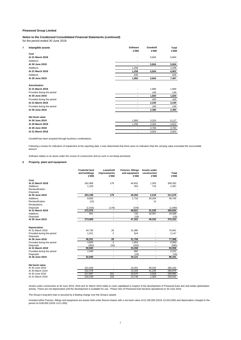**Notes to the Condensed Consolidated Financial Statements (continued)** for the period ended 30 June 2019

| 7 | Intangible assets          | Software<br>£'000            | Goodwill<br>£'000 | Total<br>£'000 |
|---|----------------------------|------------------------------|-------------------|----------------|
|   | Cost                       |                              |                   |                |
|   | At 31 March 2018           | $\qquad \qquad \blacksquare$ | 5,604             | 5,604          |
|   | <b>Additions</b>           | ٠                            |                   |                |
|   | At 30 June 2018            | $\blacksquare$               | 5,604             | 5,604          |
|   | <b>Additions</b>           | 1,258                        |                   | 1,258          |
|   | At 31 March 2019           | 1,258                        | 5,604             | 6,862          |
|   | <b>Additions</b>           | 635                          |                   | 635            |
|   | At 30 June 2019            | 1,893                        | 5,604             | 7,497          |
|   | <b>Amortisation</b>        |                              |                   |                |
|   | At 31 March 2018           | ٠                            | 1,680             | 1,680          |
|   | Provided during the period |                              | 140               | 140            |
|   | At 30 June 2018            | ٠                            | 1,820             | 1,820          |
|   | Provided during the period |                              | 420               | 420            |
|   | At 31 March 2019           | $\blacksquare$               | 2,240             | 2,240          |
|   | Provided during the period |                              | 140               | 140            |
|   | At 30 June 2019            |                              | 2,380             | 2,380          |
|   | Net book value             |                              |                   |                |
|   | At 30 June 2019            | 1,893                        | 3,224             | 5,117          |
|   | At 30 March 2019           | 1.258                        | 3,364             | 4,622          |
|   | At 30 June 2018            | ÷                            | 3,784             | 3,784          |
|   | At 31 March 2018           | -                            | 3,924             | 3,924          |

Goodwill has been acquired through business combinations.

Following a review for indicators of impairment at the reporting date, it was determined that there were no indicators that the carrying value exceeded the recoverable amount.

Software relates to an asset under the course of construction and as such is not being amortised.

#### **8 Property, plant and equipment**

|                                                                                                                                                                                                                                                  | <b>Freehold land</b><br>and buildings<br>£'000                           | Leasehold<br>improvements<br>£'000        | <b>Fixtures, fittings</b><br>and equipment<br>£'000                          | Assets under<br>construction<br>£'000 | Total<br>£'000                                                                   |
|--------------------------------------------------------------------------------------------------------------------------------------------------------------------------------------------------------------------------------------------------|--------------------------------------------------------------------------|-------------------------------------------|------------------------------------------------------------------------------|---------------------------------------|----------------------------------------------------------------------------------|
| Cost                                                                                                                                                                                                                                             |                                                                          |                                           |                                                                              |                                       |                                                                                  |
| At 31 March 2018                                                                                                                                                                                                                                 | 262,969                                                                  | 179                                       | 44,831                                                                       | 1,303                                 | 309,282                                                                          |
| Additions                                                                                                                                                                                                                                        | 1,229                                                                    |                                           | 453                                                                          | 715                                   | 2,397                                                                            |
| Reclassification                                                                                                                                                                                                                                 |                                                                          |                                           |                                                                              |                                       |                                                                                  |
| <b>Disposals</b>                                                                                                                                                                                                                                 |                                                                          |                                           |                                                                              |                                       |                                                                                  |
| At 30 June 2018                                                                                                                                                                                                                                  | 264.198                                                                  | 179                                       | 45,284                                                                       | 2.018                                 | 311,679                                                                          |
| <b>Additions</b>                                                                                                                                                                                                                                 | 9,826                                                                    |                                           | 1,715                                                                        | 29,204                                | 40.745                                                                           |
| Reclassification                                                                                                                                                                                                                                 | (13)                                                                     |                                           |                                                                              | 13                                    |                                                                                  |
| Revaluations                                                                                                                                                                                                                                     |                                                                          |                                           |                                                                              |                                       |                                                                                  |
| <b>Disposals</b>                                                                                                                                                                                                                                 | (1,033)                                                                  | (179)                                     | (378)                                                                        |                                       | (1,590)                                                                          |
| At 31 March 2019                                                                                                                                                                                                                                 | 272,978                                                                  | ٠                                         | 46,621                                                                       | 31,235                                | 350,834                                                                          |
| <b>Additions</b>                                                                                                                                                                                                                                 | 691                                                                      |                                           | 720                                                                          | 18.097                                | 19,508                                                                           |
| <b>Disposals</b>                                                                                                                                                                                                                                 |                                                                          |                                           | (19)                                                                         |                                       | (19)                                                                             |
| At 30 June 2019                                                                                                                                                                                                                                  | 273.669                                                                  | $\overline{a}$                            | 47.322                                                                       | 49.332                                | 370,323                                                                          |
| <b>Depreciation</b><br>At 31 March 2018<br>Provided during the period<br><b>Disposals</b><br>At 30 June 2018<br>Provided during the period<br><b>Disposals</b><br>At 31 March 2019<br>Provided during the period<br>Disposals<br>At 30 June 2019 | 44,730<br>1,521<br>46,251<br>4,603<br>(354)<br>50.500<br>1,540<br>52,040 | 26<br>2<br>28<br>4<br>(32)<br>٠<br>٠<br>٠ | 31,085<br>624<br>31,709<br>1,953<br>(204)<br>33,458<br>682<br>(19)<br>34,121 | ٠<br>٠<br>٠                           | 75,841<br>2,147<br>77,988<br>6,560<br>(590)<br>83,958<br>2,222<br>(19)<br>86,161 |
|                                                                                                                                                                                                                                                  |                                                                          |                                           |                                                                              |                                       |                                                                                  |
| Net book value<br>At 30 June 2019<br>At 30 March 2019                                                                                                                                                                                            | 221,629<br>222,478                                                       |                                           | 13,201<br>13,163                                                             | 49,332<br>31,235                      | 284,162<br>266,876                                                               |
| At 30 June 2018                                                                                                                                                                                                                                  | 217,947                                                                  | 151                                       | 13,575                                                                       | 2,018                                 | 233,691                                                                          |
| At 31 March 2018                                                                                                                                                                                                                                 | 218,239                                                                  | 153                                       | 13,746                                                                       | 1,303                                 | 233,441                                                                          |

Assets under construction at 30 June 2019, 2018 and 31 March 2019 relate to costs capitalised in respect of the development of Pinewood East and real estate optimisation activity. These are not depreciated until the development is available for use. Phase One of Pinewood East became operational on 30 June 2016.

The Group's long-term loan is secured by a floating charge over the Group's assets.

Included within Fixtures, fittings and equipment are assets held under finance leases with a net book value of £2,190,000 (2018: £2,624,000) and depreciation charged in the period of £108,000 (2018: £111,000).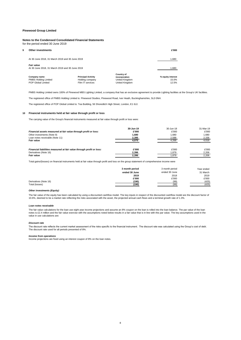#### **Notes to the Condensed Consolidated Financial Statements**

for the period ended 30 June 2019

#### **9 Other investments £'000**

| At 30 June 2018, 31 March 2019 and 30 June 2019                      |                                                                  |                                                                        |                                     |  |
|----------------------------------------------------------------------|------------------------------------------------------------------|------------------------------------------------------------------------|-------------------------------------|--|
| <b>Fair value</b><br>At 30 June 2018, 31 March 2019 and 30 June 2019 |                                                                  |                                                                        |                                     |  |
| Company name<br><b>PMBS Holding Limited</b><br>POP Global Limited    | <b>Principal Activity</b><br>Holding company<br>Film IT services | <b>Country of</b><br>incorporation<br>United Kingdom<br>United Kingdom | % equity interest<br>15.0%<br>12.5% |  |

PMBS Holding Limited owns 100% of Pinewood MBS Lighting Limited, a company that has an exclusive agreement to provide Lighting facilities at the Group's UK facilities.

The registered office of PMBS Holding Limited is: Pinewood Studios, Pinewood Road, Iver Heath, Buckinghamshire, SL0 0NH.

The registered office of POP Global Limited is: Tea Building, 56 Shoreditch High Street, London, E1 6JJ.

#### **10 Financial instruments held at fair value through profit or loss**

The carrying value of the Group's financial instruments measured at fair value through profit or loss were:

|                                                                      | 30-Jun-19 | 30-Jun-18 | 31-Mar-19 |
|----------------------------------------------------------------------|-----------|-----------|-----------|
| Financial assets measured at fair value through profit or loss:      | £'000     | £'000     | £'000     |
| Other investments (Note 9)                                           | 1.680     | 1.680     | 1.680     |
| Loan notes receivable (Note 11)                                      | 2,395     | 2,588     | 2,336     |
| <b>Fair value</b>                                                    | 4,075     | 4,268     | 4.016     |
|                                                                      |           |           |           |
| Financial liabilities measured at fair value through profit or loss: | £'000     | £'000     | £'000     |
| Derivatives (Note 16)                                                | 2,396     | 1.879     | 2.206     |
| <b>Fair value</b>                                                    | 2.396     | .879      | 2.206     |

Total gains/(losses) on financial instruments held at fair value through profit and loss on the group statement of comprehensive income were

|                       | 3 month period | 3 month period | Year ended |
|-----------------------|----------------|----------------|------------|
|                       | ended 30 June  | ended 30 June  | 31 March   |
|                       | 2019           | 2018           | 2019       |
|                       | £'000          | £'000          | £'000      |
| Derivatives (Note 16) | (190)          | (99)           | (425)      |
| Total (losses)        | (190)          | (99)           | (425)      |

#### *Other investments (Equity)*

The fair value of the equity has been calculated by using a discounted cashflow model. The key inputs in respect of the discounted cashflow model are the discount factor of 10.6%, deemed to be a market rate reflecting the risks associated with the asset, the projected annual cash flows and a terminal growth rate of 1.3%.

#### *Loan notes receivable*

The fair value calculations for the loan use eight year income projections and assume an 8% coupon on the loan is rolled into the loan balance. The par value of the loan notes is £2.4 million and the fair value exercise with the assumptions noted below results in a fair value that is in line with this par value. The key assumptions used in the<br>value in use calculations are:

#### *Discount rate*

The discount rate reflects the current market assessment of the risks specific to the financial instrument. The discount rate was calculated using the Group's cost of debt. The discount rate used for all periods presented of 8%.

#### *Income from operations*

Income projections are fixed using an interest coupon of 8% on the loan notes.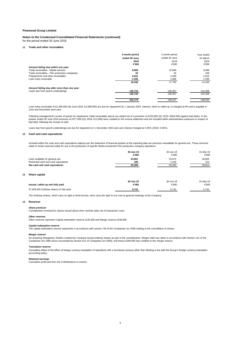**Notes to the Condensed Consolidated Financial Statements (continued)** for the period ended 30 June 2019

#### **11 Trade and other receivables**

|                                               | 3 month period | 3 month period | Year ended |
|-----------------------------------------------|----------------|----------------|------------|
|                                               | ended 30 June  | ended 30 June  | 31 March   |
|                                               | 2019           | 2018           | 2019       |
|                                               | £'000          | £'000          | £'000      |
| Amount falling due within one year:           |                |                |            |
| Trade receivables - Media services            | 8,969          | 10.690         | 9,096      |
| Trade receivables - Film production companies | 34             | 34             | 109        |
| Prepayments and other receivables             | 5,041          | 4.438          | 2,615      |
| Loan notes receivable                         | 2,395          | 2,588          | 2.336      |
|                                               | 16,439         | 17.750         | 14.156     |
| Amount falling due after more than one year:  |                |                |            |
| Loans due from parent undertakings            | 135,734        | 130,357        | 134,369    |
|                                               | 135,734        | 130,357        | 134.369    |
|                                               | 152.173        | 148.107        | 148.525    |

Loan notes receivable of £2,395,000 (30 June 2018: £2,588,000) are due for repayment by 1 January 2025. Interest, which is rolled up, is charged at 8% and is payable in June and December each year.

Following management's review of assets for impairment, trade receivables above are stated net of a provision of £229,000 (Q1 2018: £604,000) against bad debts. In the quarter ended 30 June 2019 amounts of £377,000 (Q1 2018: £12,000) were credited to the income statement and are included within administrative expenses in respect of quarter ended 30 June 2019 amounts of £377,000 (Q1 2018: bad debt, following the receipt of cash.

Loans due from parent undertakings are due for repayment on 1 December 2023 and carry interest charged at 4.05% (2018: 4.05%).

#### **12 Cash and cash equivalents**

Included within the cash and cash equivalents balance per the statement of financial position at the reporting date are amounts unavailable for general use. These amounts relate to funds reserved solely for use in the production of specific Media Investment Film production company operations.

|                                      | 30-Jun-19 | 30-Jun-18 | 31-Mar-19 |
|--------------------------------------|-----------|-----------|-----------|
|                                      | £'000     | £'000     | £'000     |
| Cash available for general use       | 24,861    | 53,074    | 39,804    |
| Restricted cash and cash equivalents | 439       | 1.246     | 110       |
| Net cash and cash equivalents        | 25.300    | 54.320    | 39.914    |
|                                      |           |           |           |
|                                      |           |           |           |

#### **13 Share capital**

| Issued, called up and fully paid       | 30-Jun-19 | 30-Jun-18 | 31-Mar-19 |
|----------------------------------------|-----------|-----------|-----------|
|                                        | £'000     | £'000     | £'000     |
| 57,409,926 Ordinary shares of 10p each | 5.741     | 5.741     | 5.741     |

The Ordinary shares, which carry no right to fixed income, each carry the right to one vote at general meetings of the Company.

#### **14 Reserves**

*Share premium*

Consideration received for shares issued above their nominal value net of transaction costs.

#### *Other reserves*

Other reserves represent Capital redemption reserve £135,000 and Merger reserve £348,000.

#### *Capital redemption reserve*

The capital redemption reserve represents in accordance with section 733 of the Companies Act 2006 relating to the cancellation of shares.

#### *Merger reserve*

On acquiring Shepperton Studios Limited the Company issued ordinary shares as part of the consideration. Merger relief was taken in accordance with Section 131 of the<br>Companies Act 1985 (since succeeded by Section 612 of C

#### *Translation reserve*

Cumulative effect of the effect of foreign currency translation of operations with a functional currency other than Sterling in line with the Group's foreign currency translation accounting policy.

#### *Retained earnings*

Cumulative profit and loss net of distributions to owners.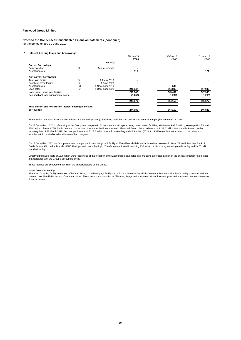## **Notes to the Condensed Consolidated Financial Statements (continued)**

for the period ended 30 June 2019

#### **15 Interest bearing loans and borrowings**

|                                                                        |       |                 | 30-Jun-19 | 30-Jun-18 | 31-Mar-19 |
|------------------------------------------------------------------------|-------|-----------------|-----------|-----------|-----------|
|                                                                        |       |                 | £'000     | £'000     | £'000     |
|                                                                        |       | Maturity        |           |           |           |
| <b>Current borrowings</b>                                              |       |                 |           |           |           |
| Bank overdraft                                                         | (i)   | Annual renewal  |           |           |           |
| Asset financing                                                        |       |                 | 110       |           | 171       |
| <b>Non-current borrowings</b>                                          |       |                 |           |           |           |
| Term loan facility                                                     | (iii) | 29 May 2019     | -         |           |           |
| Revolving credit facility                                              | (ii)  | 1 June 2023     |           |           |           |
| Asset financing                                                        | (iii) | 5 November 2019 |           | 549       |           |
| Loan notes                                                             | (iv)  | 1 December 2023 | 245,847   | 244,883   | 247,945   |
| Non-current drawn loan facilities                                      |       |                 | 245,847   | 245,432   | 247,945   |
| Secured bank loan arrangement costs                                    |       |                 | (1,268)   | (1,282)   | (1,268)   |
|                                                                        |       |                 | 244,579   | 244,150   | 246,677   |
| Total current and non-current interest-bearing loans and<br>borrowings |       |                 | 244,689   | 244,150   | 246,848   |

The effective interest rates of the above loans and borrowings are: (i) Revolving credit facility - LIBOR plus variable margin; (ii) Loan notes - 4.28%.

On 13 December 2017, a refinancing of the Group was completed. At this date, the Group's existing drawn senior facilities, which were £97.5 million, were repaid in full and<br>£250 million of new 3.75% Senior Secured Notes d reporting date of 31 March 2019, the principal balance of £127.5 million was still outstanding and £6.9 million (2018: £1.5 million) of interest accrued on the balance is included within receivables due after more than one year.

On 13 December 2017, the Group completed a super senior revolving credit facility of £50 million which is available to draw down until 1 May 2023 with Barclays Bank plc,<br>Credit Suisse AG London Branch, HSBC Bank plc and Ll overdraft facility.

Directly attributable costs of £6.4 million were recognised at the inception of the £250 million loan notes and are being amortised as part of the effective interest rate method in accordance with the Group's accounting policy.

These facilities are secured on certain of the principal assets of the Group.

#### *Asset financing facility*

The asset financing facility comprises of both a sterling chattel mortgage facility and a finance lease facility which are over a fixed term with fixed monthly payments and are secured over identifiable assets of an equal value. These assets are classified as 'Fixtures, fittings and equipment' within 'Property, plant and equipment' in the statement of financial position.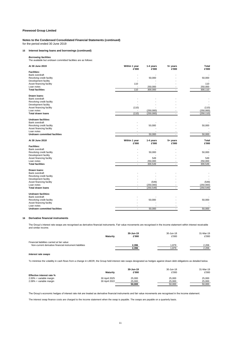**Notes to the Condensed Consolidated Financial Statements (continued)** for the period ended 30 June 2019

#### **15 Interest bearing loans and borrowings (continued)**

*Borrowing facilities* The available but undrawn committed facilities are as follows:

| At 30 June 2019                            | Within 1 year<br>£'000 | 1-4 years<br>£'000 | $5+$ years<br>£'000  | <b>Total</b><br>£'000 |
|--------------------------------------------|------------------------|--------------------|----------------------|-----------------------|
| <b>Facilities:</b>                         |                        |                    |                      |                       |
| Bank overdraft                             |                        |                    |                      |                       |
| Revolving credit facility                  |                        | 50,000             |                      | 50,000                |
| Development facility                       |                        |                    |                      |                       |
| Asset financing facility                   | 110                    |                    |                      | 110                   |
| Loan notes                                 |                        | 250,000            |                      | 250,000               |
| <b>Total facilities</b>                    | 110                    | 300,000            |                      | 300,110               |
| Drawn Ioans:                               |                        |                    |                      |                       |
| Bank overdraft                             |                        |                    |                      |                       |
| Revolving credit facility                  |                        |                    |                      |                       |
| Development facility                       |                        |                    |                      |                       |
| Asset financing facility                   | (110)                  |                    |                      | (110)                 |
| Loan notes                                 |                        | (250,000)          |                      | (250,000)             |
| <b>Total drawn loans</b>                   | (110)                  | (250,000)          |                      | (250, 110)            |
| <b>Undrawn facilities:</b>                 |                        |                    |                      |                       |
| Bank overdraft                             |                        |                    |                      |                       |
| Revolving credit facility                  |                        | 50,000             |                      | 50,000                |
| Asset financing facility                   |                        |                    |                      |                       |
| Loan notes                                 |                        |                    |                      |                       |
| <b>Undrawn committed facilities</b>        |                        | 50,000             |                      | 50,000                |
|                                            |                        |                    |                      |                       |
| At 30 June 2018                            | Within 1 year<br>£'000 | 1-4 years<br>£'000 | $5 + years$<br>£'000 | <b>Total</b><br>£'000 |
| <b>Facilities:</b>                         |                        |                    |                      |                       |
| Bank overdraft                             |                        |                    |                      |                       |
| Revolving credit facility                  |                        | 50,000             |                      | 50,000                |
| Development facility                       |                        |                    |                      |                       |
| Asset financing facility                   |                        | 549                |                      | 549                   |
| Loan notes                                 |                        | 250,000            |                      | 250,000               |
| <b>Total facilities</b>                    |                        | 300,549            |                      | 300,549               |
| Drawn Ioans:                               |                        |                    |                      |                       |
| Bank overdraft                             |                        |                    |                      |                       |
| Revolving credit facility                  |                        |                    |                      |                       |
| Development facility                       |                        |                    |                      |                       |
| Asset financing facility                   |                        | (549)              |                      | (549)                 |
| Loan notes                                 | $\blacksquare$         | (250,000)          |                      | (250,000)             |
| <b>Total drawn loans</b>                   |                        | (250, 549)         |                      | (250, 549)            |
| <b>Undrawn facilities:</b>                 |                        |                    |                      |                       |
| Bank overdraft                             |                        |                    |                      |                       |
| Revolving credit facility                  |                        | 50,000             |                      | 50,000                |
| Asset financing facility                   |                        |                    |                      |                       |
| Loan notes<br>Undrawn committed facilities | $\sim$                 | 50,000             | ٠                    | 50,000                |

#### **16 Derivative financial instruments**

The Group's interest rate swaps are recognised as derivative financial instruments. Fair value movements are recognised in the income statement within interest receivable and similar income.

|                                                                                                         | <b>Maturity</b> | 30-Jun-19<br>£'000 | 30-Jun-18<br>£'000 | 31-Mar-19<br>£'000 |
|---------------------------------------------------------------------------------------------------------|-----------------|--------------------|--------------------|--------------------|
| Financial liabilities carried at fair value:<br>Non-current derivative financial instrument liabilities |                 |                    |                    | 2.206              |
|                                                                                                         |                 | 2,396<br>2,396     | .879<br>.879       | 2.206              |

#### *Interest rate swaps*

To minimise the volatility in cash flows from a change in LIBOR, the Group held interest rate swaps designated as hedges against drawn debt obligations as detailed below.

|                           | <b>Maturity</b> | 30-Jun-19<br>£'000 | 30-Jun-18<br>£'000 | 31-Mar-19<br>£'000 |
|---------------------------|-----------------|--------------------|--------------------|--------------------|
| Effective interest rate % |                 |                    |                    |                    |
| 2.00% + variable margin   | 30 April 2025   | 25,000             | 25.000             | 25,000             |
| 2.08% + variable margin   | 30 April 2022   | 25,000             | 25.000             | 25.000             |
|                           |                 | 50.000             | 50.000             | 50.000             |

The Group's economic hedges of interest rate risk are treated as derivative financial instruments and fair value movements are recognised in the income statement.

The interest swap finance costs are charged to the income statement when the swap is payable. The swaps are payable on a quarterly basis.